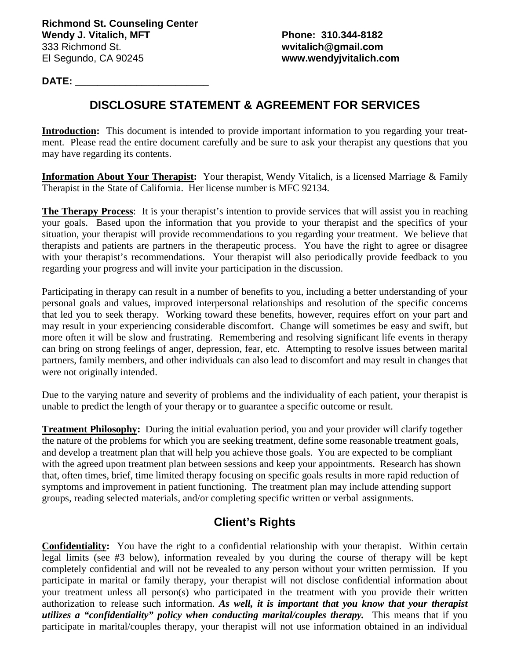## **DATE: \_\_\_\_\_\_\_\_\_\_\_\_\_\_\_\_\_\_\_\_\_\_\_\_**

## **DISCLOSURE STATEMENT & AGREEMENT FOR SERVICES**

**Introduction:** This document is intended to provide important information to you regarding your treatment. Please read the entire document carefully and be sure to ask your therapist any questions that you may have regarding its contents.

**Information About Your Therapist:** Your therapist, Wendy Vitalich, is a licensed Marriage & Family Therapist in the State of California. Her license number is MFC 92134.

**The Therapy Process**: It is your therapist's intention to provide services that will assist you in reaching your goals. Based upon the information that you provide to your therapist and the specifics of your situation, your therapist will provide recommendations to you regarding your treatment. We believe that therapists and patients are partners in the therapeutic process. You have the right to agree or disagree with your therapist's recommendations. Your therapist will also periodically provide feedback to you regarding your progress and will invite your participation in the discussion.

Participating in therapy can result in a number of benefits to you, including a better understanding of your personal goals and values, improved interpersonal relationships and resolution of the specific concerns that led you to seek therapy. Working toward these benefits, however, requires effort on your part and may result in your experiencing considerable discomfort. Change will sometimes be easy and swift, but more often it will be slow and frustrating. Remembering and resolving significant life events in therapy can bring on strong feelings of anger, depression, fear, etc. Attempting to resolve issues between marital partners, family members, and other individuals can also lead to discomfort and may result in changes that were not originally intended.

Due to the varying nature and severity of problems and the individuality of each patient, your therapist is unable to predict the length of your therapy or to guarantee a specific outcome or result.

**Treatment Philosophy:** During the initial evaluation period, you and your provider will clarify together the nature of the problems for which you are seeking treatment, define some reasonable treatment goals, and develop a treatment plan that will help you achieve those goals. You are expected to be compliant with the agreed upon treatment plan between sessions and keep your appointments. Research has shown that, often times, brief, time limited therapy focusing on specific goals results in more rapid reduction of symptoms and improvement in patient functioning. The treatment plan may include attending support groups, reading selected materials, and/or completing specific written or verbal assignments.

## **Client's Rights**

**Confidentiality:** You have the right to a confidential relationship with your therapist. Within certain legal limits (see #3 below), information revealed by you during the course of therapy will be kept completely confidential and will not be revealed to any person without your written permission. If you participate in marital or family therapy, your therapist will not disclose confidential information about your treatment unless all person(s) who participated in the treatment with you provide their written authorization to release such information. *As well, it is important that you know that your therapist utilizes a "confidentiality" policy when conducting marital/couples therapy.* This means that if you participate in marital/couples therapy, your therapist will not use information obtained in an individual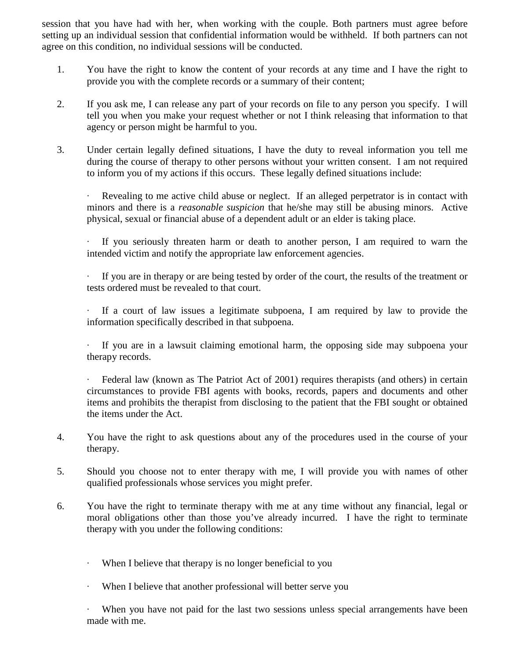session that you have had with her, when working with the couple. Both partners must agree before setting up an individual session that confidential information would be withheld. If both partners can not agree on this condition, no individual sessions will be conducted.

- 1. You have the right to know the content of your records at any time and I have the right to provide you with the complete records or a summary of their content;
- 2. If you ask me, I can release any part of your records on file to any person you specify. I will tell you when you make your request whether or not I think releasing that information to that agency or person might be harmful to you.
- 3. Under certain legally defined situations, I have the duty to reveal information you tell me during the course of therapy to other persons without your written consent. I am not required to inform you of my actions if this occurs. These legally defined situations include:

Revealing to me active child abuse or neglect. If an alleged perpetrator is in contact with minors and there is a *reasonable suspicion* that he/she may still be abusing minors. Active physical, sexual or financial abuse of a dependent adult or an elder is taking place.

If you seriously threaten harm or death to another person, I am required to warn the intended victim and notify the appropriate law enforcement agencies.

∙ If you are in therapy or are being tested by order of the court, the results of the treatment or tests ordered must be revealed to that court.

∙ If a court of law issues a legitimate subpoena, I am required by law to provide the information specifically described in that subpoena.

∙ If you are in a lawsuit claiming emotional harm, the opposing side may subpoena your therapy records.

∙ Federal law (known as The Patriot Act of 2001) requires therapists (and others) in certain circumstances to provide FBI agents with books, records, papers and documents and other items and prohibits the therapist from disclosing to the patient that the FBI sought or obtained the items under the Act.

- 4. You have the right to ask questions about any of the procedures used in the course of your therapy.
- 5. Should you choose not to enter therapy with me, I will provide you with names of other qualified professionals whose services you might prefer.
- 6. You have the right to terminate therapy with me at any time without any financial, legal or moral obligations other than those you've already incurred. I have the right to terminate therapy with you under the following conditions:
	- ∙ When I believe that therapy is no longer beneficial to you
	- ∙ When I believe that another professional will better serve you

When you have not paid for the last two sessions unless special arrangements have been made with me.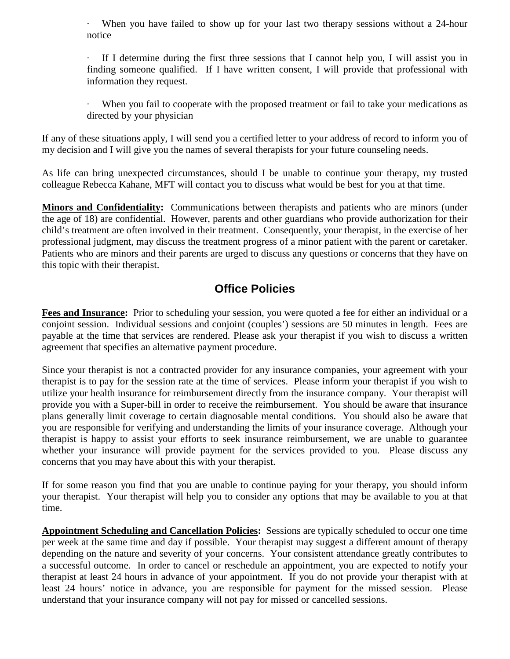∙ When you have failed to show up for your last two therapy sessions without a 24-hour notice

∙ If I determine during the first three sessions that I cannot help you, I will assist you in finding someone qualified. If I have written consent, I will provide that professional with information they request.

∙ When you fail to cooperate with the proposed treatment or fail to take your medications as directed by your physician

If any of these situations apply, I will send you a certified letter to your address of record to inform you of my decision and I will give you the names of several therapists for your future counseling needs.

As life can bring unexpected circumstances, should I be unable to continue your therapy, my trusted colleague Rebecca Kahane, MFT will contact you to discuss what would be best for you at that time.

**Minors and Confidentiality:** Communications between therapists and patients who are minors (under the age of 18) are confidential. However, parents and other guardians who provide authorization for their child's treatment are often involved in their treatment. Consequently, your therapist, in the exercise of her professional judgment, may discuss the treatment progress of a minor patient with the parent or caretaker. Patients who are minors and their parents are urged to discuss any questions or concerns that they have on this topic with their therapist.

## **Office Policies**

**Fees and Insurance:** Prior to scheduling your session, you were quoted a fee for either an individual or a conjoint session. Individual sessions and conjoint (couples') sessions are 50 minutes in length. Fees are payable at the time that services are rendered. Please ask your therapist if you wish to discuss a written agreement that specifies an alternative payment procedure.

Since your therapist is not a contracted provider for any insurance companies, your agreement with your therapist is to pay for the session rate at the time of services. Please inform your therapist if you wish to utilize your health insurance for reimbursement directly from the insurance company. Your therapist will provide you with a Super-bill in order to receive the reimbursement. You should be aware that insurance plans generally limit coverage to certain diagnosable mental conditions. You should also be aware that you are responsible for verifying and understanding the limits of your insurance coverage. Although your therapist is happy to assist your efforts to seek insurance reimbursement, we are unable to guarantee whether your insurance will provide payment for the services provided to you. Please discuss any concerns that you may have about this with your therapist.

If for some reason you find that you are unable to continue paying for your therapy, you should inform your therapist. Your therapist will help you to consider any options that may be available to you at that time.

**Appointment Scheduling and Cancellation Policies:** Sessions are typically scheduled to occur one time per week at the same time and day if possible. Your therapist may suggest a different amount of therapy depending on the nature and severity of your concerns. Your consistent attendance greatly contributes to a successful outcome. In order to cancel or reschedule an appointment, you are expected to notify your therapist at least 24 hours in advance of your appointment. If you do not provide your therapist with at least 24 hours' notice in advance, you are responsible for payment for the missed session. Please understand that your insurance company will not pay for missed or cancelled sessions.